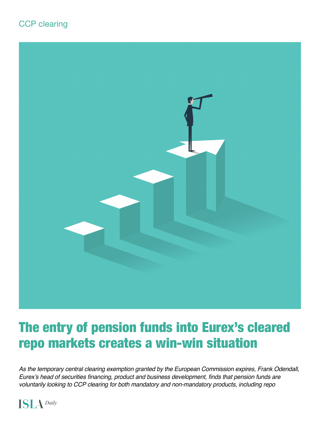



# The entry of pension funds into Eurex's cleared repo markets creates a win-win situation

*As the temporary central clearing exemption granted by the European Commission expires, Frank Odendall,*  Eurex's head of securities financing, product and business development, finds that pension funds are voluntarily looking to CCP clearing for both mandatory and non-mandatory products, including repo

 $ISL$   $\Delta$  Daily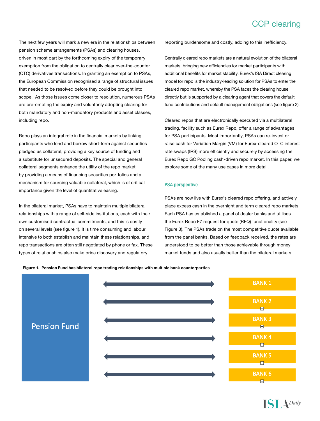### CCP clearing

The next few years will mark a new era in the relationships between pension scheme arrangements (PSAs) and clearing houses, driven in most part by the forthcoming expiry of the temporary exemption from the obligation to centrally clear over-the-counter (OTC) derivatives transactions. In granting an exemption to PSAs, the European Commission recognised a range of structural issues that needed to be resolved before they could be brought into scope. As those issues come closer to resolution, numerous PSAs are pre-empting the expiry and voluntarily adopting clearing for both mandatory and non-mandatory products and asset classes, including repo.

Repo plays an integral role in the financial markets by linking participants who lend and borrow short-term against securities pledged as collateral, providing a key source of funding and a substitute for unsecured deposits. The special and general collateral segments enhance the utility of the repo market by providing a means of financing securities portfolios and a mechanism for sourcing valuable collateral, which is of critical importance given the level of quantitative easing.

In the bilateral market, PSAs have to maintain multiple bilateral relationships with a range of sell-side institutions, each with their own customised contractual commitments, and this is costly on several levels (see figure 1). It is time consuming and labour intensive to both establish and maintain these relationships, and repo transactions are often still negotiated by phone or fax. These types of relationships also make price discovery and regulatory

reporting burdensome and costly, adding to this inefficiency.

Centrally cleared repo markets are a natural evolution of the bilateral markets, bringing new efficiencies for market participants with additional benefits for market stability. Eurex's ISA Direct clearing model for repo is the industry-leading solution for PSAs to enter the cleared repo market, whereby the PSA faces the clearing house directly but is supported by a clearing agent that covers the default fund contributions and default management obligations (see figure 2).

Cleared repos that are electronically executed via a multilateral trading, facility such as Eurex Repo, offer a range of advantages for PSA participants. Most importantly, PSAs can re-invest or raise cash for Variation Margin (VM) for Eurex-cleared OTC interest rate swaps (IRS) more efficiently and securely by accessing the Eurex Repo GC Pooling cash-driven repo market. In this paper, we explore some of the many use cases in more detail.

#### **PSA perspective**

PSAs are now live with Eurex's cleared repo offering, and actively place excess cash in the overnight and term cleared repo markets. Each PSA has established a panel of dealer banks and utilises the Eurex Repo F7 request for quote (RFQ) functionality (see Figure 3). The PSAs trade on the most competitive quote available from the panel banks. Based on feedback received, the rates are understood to be better than those achievable through money market funds and also usually better than the bilateral markets.

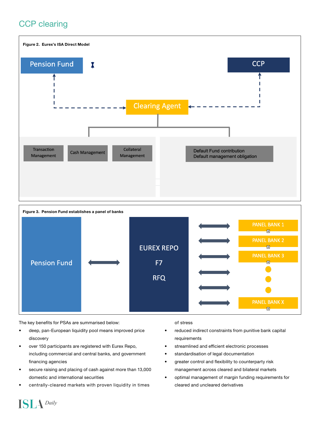## CCP clearing





The key benefits for PSAs are summarised below:

**ISLA** Daily

- deep, pan-European liquidity pool means improved price discovery
- over 150 participants are registered with Eurex Repo, including commercial and central banks, and government financing agencies
- secure raising and placing of cash against more than 13,000 domestic and international securities
- centrally-cleared markets with proven liquidity in times

#### of stress

- reduced indirect constraints from punitive bank capital requirements
- streamlined and efficient electronic processes
- standardisation of legal documentation
- greater control and flexibility to counterparty risk management across cleared and bilateral markets
- optimal management of margin funding requirements for cleared and uncleared derivatives